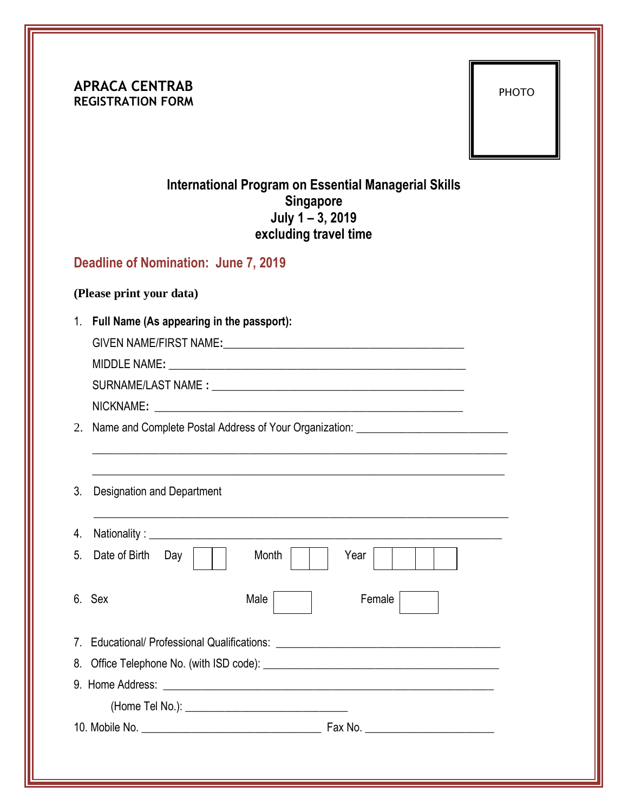**APRACA CENTRAB REGISTRATION FORM**

PHOTO

## **International Program on Essential Managerial Skills Singapore July 1 – 3, 2019 excluding travel time**

## **Deadline of Nomination: June 7, 2019**

## **(Please print your data)**

1. **Full Name (As appearing in the passport):**

GIVEN NAME/FIRST NAME**:**\_\_\_\_\_\_\_\_\_\_\_\_\_\_\_\_\_\_\_\_\_\_\_\_\_\_\_\_\_\_\_\_\_\_\_\_\_\_\_\_\_\_\_

MIDDLE NAME:

SURNAME/LAST NAME **: \_\_**\_\_\_\_\_\_\_\_\_\_\_\_\_\_\_\_\_\_\_\_\_\_\_\_\_\_\_\_\_\_\_\_\_\_\_\_\_\_\_\_\_\_\_

 $NICKNAME:$ 

2. Name and Complete Postal Address of Your Organization: \_\_\_\_\_\_\_\_\_\_\_\_\_\_\_\_\_\_\_\_\_\_\_

| 3 <sub>1</sub> | <b>Designation and Department</b>                                                |                |  |
|----------------|----------------------------------------------------------------------------------|----------------|--|
| 4.             |                                                                                  |                |  |
| 5.             | Date of Birth<br>Day                                                             | Month<br>Year  |  |
|                | 6. Sex                                                                           | Female<br>Male |  |
|                | 7. Educational/ Professional Qualifications: ___________________________________ |                |  |
|                |                                                                                  |                |  |
|                |                                                                                  |                |  |
|                |                                                                                  |                |  |
|                |                                                                                  |                |  |

\_\_\_\_\_\_\_\_\_\_\_\_\_\_\_\_\_\_\_\_\_\_\_\_\_\_\_\_\_\_\_\_\_\_\_\_\_\_\_\_\_\_\_\_\_\_\_\_\_\_\_\_\_\_\_\_\_\_\_\_\_\_\_\_\_\_\_\_\_\_\_\_\_\_